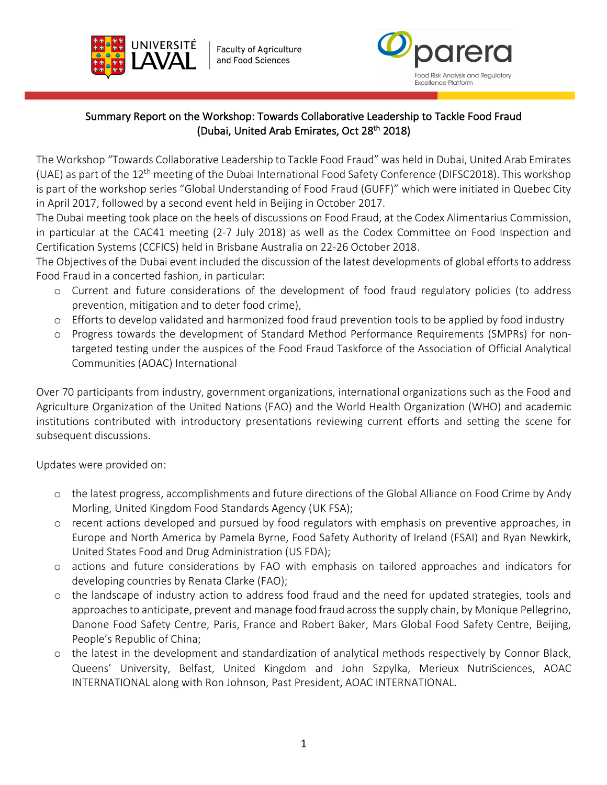

**Faculty of Agriculture** and Food Sciences



## Summary Report on the Workshop: Towards Collaborative Leadership to Tackle Food Fraud (Dubai, United Arab Emirates, Oct 28<sup>th</sup> 2018)

l, i

The Workshop "Towards Collaborative Leadership to Tackle Food Fraud" was held in Dubai, United Arab Emirates (UAE) as part of the 12<sup>th</sup> meeting of the Dubai International Food Safety Conference (DIFSC2018). This workshop is part of the workshop series "Global Understanding of Food Fraud (GUFF)" which were initiated in Quebec City in April 2017, followed by a second event held in Beijing in October 2017.

The Dubai meeting took place on the heels of discussions on Food Fraud, at the Codex Alimentarius Commission, in particular at the CAC41 meeting (2-7 July 2018) as well as the Codex Committee on Food Inspection and Certification Systems (CCFICS) held in Brisbane Australia on 22-26 October 2018.

The Objectives of the Dubai event included the discussion of the latest developments of global efforts to address Food Fraud in a concerted fashion, in particular:

- o Current and future considerations of the development of food fraud regulatory policies (to address prevention, mitigation and to deter food crime),
- o Efforts to develop validated and harmonized food fraud prevention tools to be applied by food industry
- o Progress towards the development of Standard Method Performance Requirements (SMPRs) for nontargeted testing under the auspices of the Food Fraud Taskforce of the Association of Official Analytical Communities (AOAC) International

Over 70 participants from industry, government organizations, international organizations such as the Food and Agriculture Organization of the United Nations (FAO) and the World Health Organization (WHO) and academic institutions contributed with introductory presentations reviewing current efforts and setting the scene for subsequent discussions.

Updates were provided on:

- o the latest progress, accomplishments and future directions of the Global Alliance on Food Crime by Andy Morling, United Kingdom Food Standards Agency (UK FSA);
- o recent actions developed and pursued by food regulators with emphasis on preventive approaches, in Europe and North America by Pamela Byrne, Food Safety Authority of Ireland (FSAI) and Ryan Newkirk, United States Food and Drug Administration (US FDA);
- o actions and future considerations by FAO with emphasis on tailored approaches and indicators for developing countries by Renata Clarke (FAO);
- o the landscape of industry action to address food fraud and the need for updated strategies, tools and approaches to anticipate, prevent and manage food fraud across the supply chain, by Monique Pellegrino, Danone Food Safety Centre, Paris, France and Robert Baker, Mars Global Food Safety Centre, Beijing, People's Republic of China;
- o the latest in the development and standardization of analytical methods respectively by Connor Black, Queens' University, Belfast, United Kingdom and John Szpylka, Merieux NutriSciences, AOAC INTERNATIONAL along with Ron Johnson, Past President, AOAC INTERNATIONAL.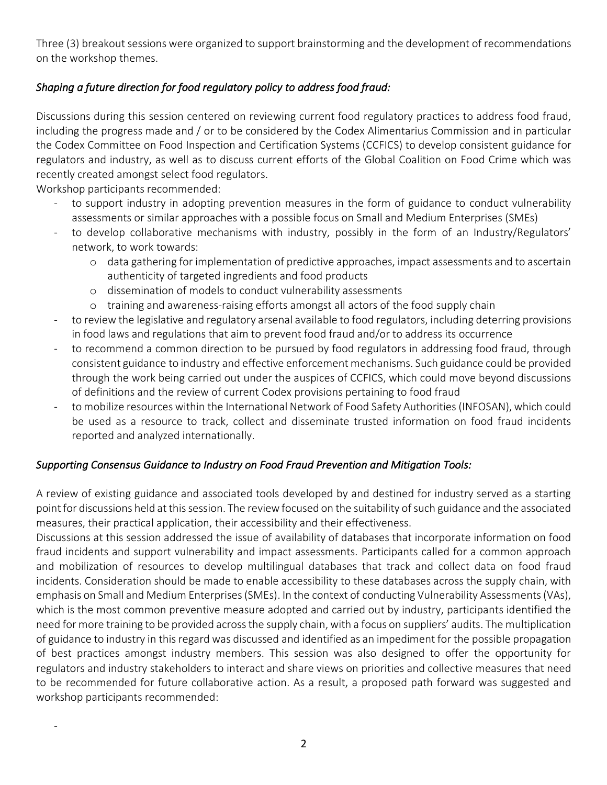Three (3) breakout sessions were organized to support brainstorming and the development of recommendations on the workshop themes.

# *Shaping a future direction for food regulatory policy to address food fraud:*

Discussions during this session centered on reviewing current food regulatory practices to address food fraud, including the progress made and / or to be considered by the Codex Alimentarius Commission and in particular the Codex Committee on Food Inspection and Certification Systems (CCFICS) to develop consistent guidance for regulators and industry, as well as to discuss current efforts of the Global Coalition on Food Crime which was recently created amongst select food regulators.

Workshop participants recommended:

-

- to support industry in adopting prevention measures in the form of guidance to conduct vulnerability assessments or similar approaches with a possible focus on Small and Medium Enterprises (SMEs)
- to develop collaborative mechanisms with industry, possibly in the form of an Industry/Regulators' network, to work towards:
	- o data gathering for implementation of predictive approaches, impact assessments and to ascertain authenticity of targeted ingredients and food products
	- o dissemination of models to conduct vulnerability assessments
	- o training and awareness-raising efforts amongst all actors of the food supply chain
- to review the legislative and regulatory arsenal available to food regulators, including deterring provisions in food laws and regulations that aim to prevent food fraud and/or to address its occurrence
- to recommend a common direction to be pursued by food regulators in addressing food fraud, through consistent guidance to industry and effective enforcement mechanisms. Such guidance could be provided through the work being carried out under the auspices of CCFICS, which could move beyond discussions of definitions and the review of current Codex provisions pertaining to food fraud
- to mobilize resources within the International Network of Food Safety Authorities (INFOSAN), which could be used as a resource to track, collect and disseminate trusted information on food fraud incidents reported and analyzed internationally.

#### *Supporting Consensus Guidance to Industry on Food Fraud Prevention and Mitigation Tools:*

A review of existing guidance and associated tools developed by and destined for industry served as a starting point for discussions held at this session. The review focused on the suitability of such guidance and the associated measures, their practical application, their accessibility and their effectiveness.

Discussions at this session addressed the issue of availability of databases that incorporate information on food fraud incidents and support vulnerability and impact assessments. Participants called for a common approach and mobilization of resources to develop multilingual databases that track and collect data on food fraud incidents. Consideration should be made to enable accessibility to these databases across the supply chain, with emphasis on Small and Medium Enterprises (SMEs). In the context of conducting Vulnerability Assessments (VAs), which is the most common preventive measure adopted and carried out by industry, participants identified the need for more training to be provided across the supply chain, with a focus on suppliers' audits. The multiplication of guidance to industry in this regard was discussed and identified as an impediment for the possible propagation of best practices amongst industry members. This session was also designed to offer the opportunity for regulators and industry stakeholders to interact and share views on priorities and collective measures that need to be recommended for future collaborative action. As a result, a proposed path forward was suggested and workshop participants recommended: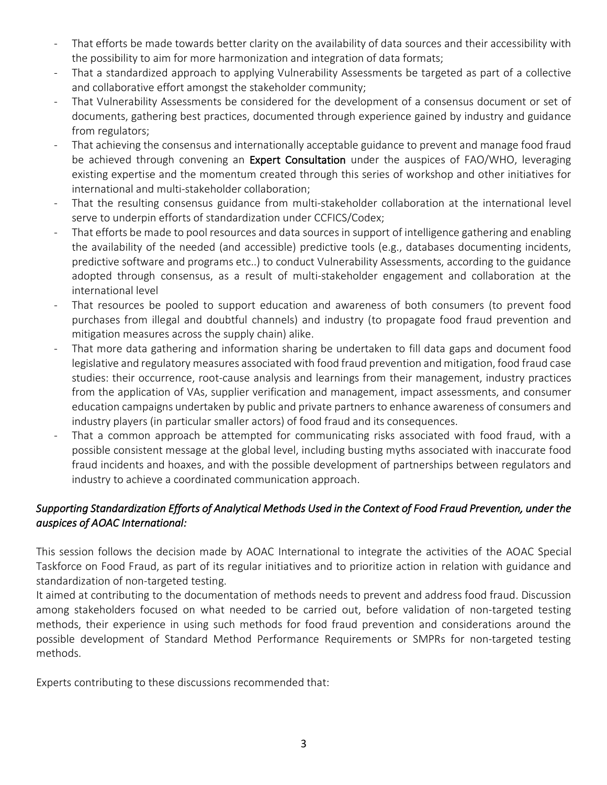- That efforts be made towards better clarity on the availability of data sources and their accessibility with the possibility to aim for more harmonization and integration of data formats;
- That a standardized approach to applying Vulnerability Assessments be targeted as part of a collective and collaborative effort amongst the stakeholder community;
- That Vulnerability Assessments be considered for the development of a consensus document or set of documents, gathering best practices, documented through experience gained by industry and guidance from regulators;
- That achieving the consensus and internationally acceptable guidance to prevent and manage food fraud be achieved through convening an Expert Consultation under the auspices of FAO/WHO, leveraging existing expertise and the momentum created through this series of workshop and other initiatives for international and multi-stakeholder collaboration;
- That the resulting consensus guidance from multi-stakeholder collaboration at the international level serve to underpin efforts of standardization under CCFICS/Codex;
- That efforts be made to pool resources and data sources in support of intelligence gathering and enabling the availability of the needed (and accessible) predictive tools (e.g., databases documenting incidents, predictive software and programs etc..) to conduct Vulnerability Assessments, according to the guidance adopted through consensus, as a result of multi-stakeholder engagement and collaboration at the international level
- That resources be pooled to support education and awareness of both consumers (to prevent food purchases from illegal and doubtful channels) and industry (to propagate food fraud prevention and mitigation measures across the supply chain) alike.
- That more data gathering and information sharing be undertaken to fill data gaps and document food legislative and regulatory measures associated with food fraud prevention and mitigation, food fraud case studies: their occurrence, root-cause analysis and learnings from their management, industry practices from the application of VAs, supplier verification and management, impact assessments, and consumer education campaigns undertaken by public and private partners to enhance awareness of consumers and industry players (in particular smaller actors) of food fraud and its consequences.
- That a common approach be attempted for communicating risks associated with food fraud, with a possible consistent message at the global level, including busting myths associated with inaccurate food fraud incidents and hoaxes, and with the possible development of partnerships between regulators and industry to achieve a coordinated communication approach.

## *Supporting Standardization Efforts of Analytical Methods Used in the Context of Food Fraud Prevention, under the auspices of AOAC International:*

This session follows the decision made by AOAC International to integrate the activities of the AOAC Special Taskforce on Food Fraud, as part of its regular initiatives and to prioritize action in relation with guidance and standardization of non-targeted testing.

It aimed at contributing to the documentation of methods needs to prevent and address food fraud. Discussion among stakeholders focused on what needed to be carried out, before validation of non-targeted testing methods, their experience in using such methods for food fraud prevention and considerations around the possible development of Standard Method Performance Requirements or SMPRs for non-targeted testing methods.

Experts contributing to these discussions recommended that: